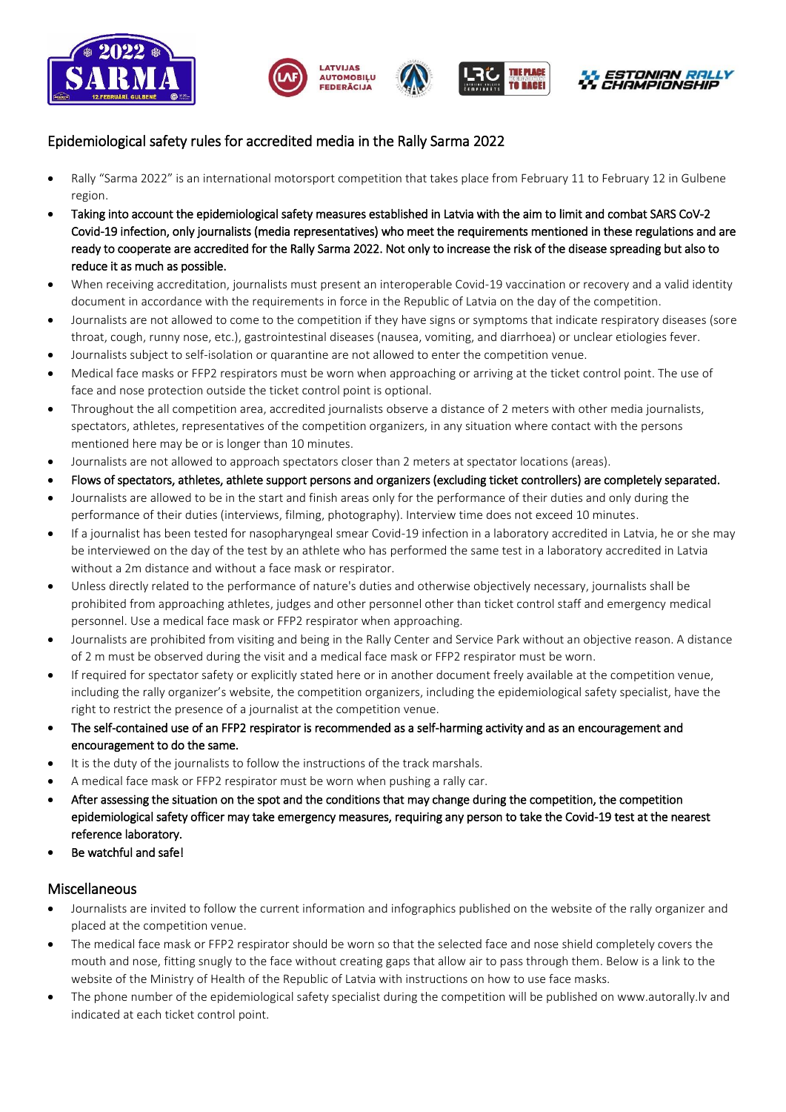







## Epidemiological safety rules for accredited media in the Rally Sarma 2022

- Rally "Sarma 2022" is an international motorsport competition that takes place from February 11 to February 12 in Gulbene region.
- Taking into account the epidemiological safety measures established in Latvia with the aim to limit and combat SARS CoV-2 Covid-19 infection, only journalists (media representatives) who meet the requirements mentioned in these regulations and are ready to cooperate are accredited for the Rally Sarma 2022. Not only to increase the risk of the disease spreading but also to reduce it as much as possible.
- When receiving accreditation, journalists must present an interoperable Covid-19 vaccination or recovery and a valid identity document in accordance with the requirements in force in the Republic of Latvia on the day of the competition.
- Journalists are not allowed to come to the competition if they have signs or symptoms that indicate respiratory diseases (sore throat, cough, runny nose, etc.), gastrointestinal diseases (nausea, vomiting, and diarrhoea) or unclear etiologies fever.
- Journalists subject to self-isolation or quarantine are not allowed to enter the competition venue.
- Medical face masks or FFP2 respirators must be worn when approaching or arriving at the ticket control point. The use of face and nose protection outside the ticket control point is optional.
- Throughout the all competition area, accredited journalists observe a distance of 2 meters with other media journalists, spectators, athletes, representatives of the competition organizers, in any situation where contact with the persons mentioned here may be or is longer than 10 minutes.
- Journalists are not allowed to approach spectators closer than 2 meters at spectator locations (areas).
- Flows of spectators, athletes, athlete support persons and organizers (excluding ticket controllers) are completely separated.
- Journalists are allowed to be in the start and finish areas only for the performance of their duties and only during the performance of their duties (interviews, filming, photography). Interview time does not exceed 10 minutes.
- If a journalist has been tested for nasopharyngeal smear Covid-19 infection in a laboratory accredited in Latvia, he or she may be interviewed on the day of the test by an athlete who has performed the same test in a laboratory accredited in Latvia without a 2m distance and without a face mask or respirator.
- Unless directly related to the performance of nature's duties and otherwise objectively necessary, journalists shall be prohibited from approaching athletes, judges and other personnel other than ticket control staff and emergency medical personnel. Use a medical face mask or FFP2 respirator when approaching.
- Journalists are prohibited from visiting and being in the Rally Center and Service Park without an objective reason. A distance of 2 m must be observed during the visit and a medical face mask or FFP2 respirator must be worn.
- If required for spectator safety or explicitly stated here or in another document freely available at the competition venue, including the rally organizer's website, the competition organizers, including the epidemiological safety specialist, have the right to restrict the presence of a journalist at the competition venue.
- The self-contained use of an FFP2 respirator is recommended as a self-harming activity and as an encouragement and encouragement to do the same.
- It is the duty of the journalists to follow the instructions of the track marshals.
- A medical face mask or FFP2 respirator must be worn when pushing a rally car.
- After assessing the situation on the spot and the conditions that may change during the competition, the competition epidemiological safety officer may take emergency measures, requiring any person to take the Covid-19 test at the nearest reference laboratory.
- Be watchful and safe!

## Miscellaneous

- Journalists are invited to follow the current information and infographics published on the website of the rally organizer and placed at the competition venue.
- The medical face mask or FFP2 respirator should be worn so that the selected face and nose shield completely covers the mouth and nose, fitting snugly to the face without creating gaps that allow air to pass through them. Below is a link to the website of the Ministry of Health of the Republic of Latvia with instructions on how to use face masks.
- The phone number of the epidemiological safety specialist during the competition will be published on www.autorally.lv and indicated at each ticket control point.